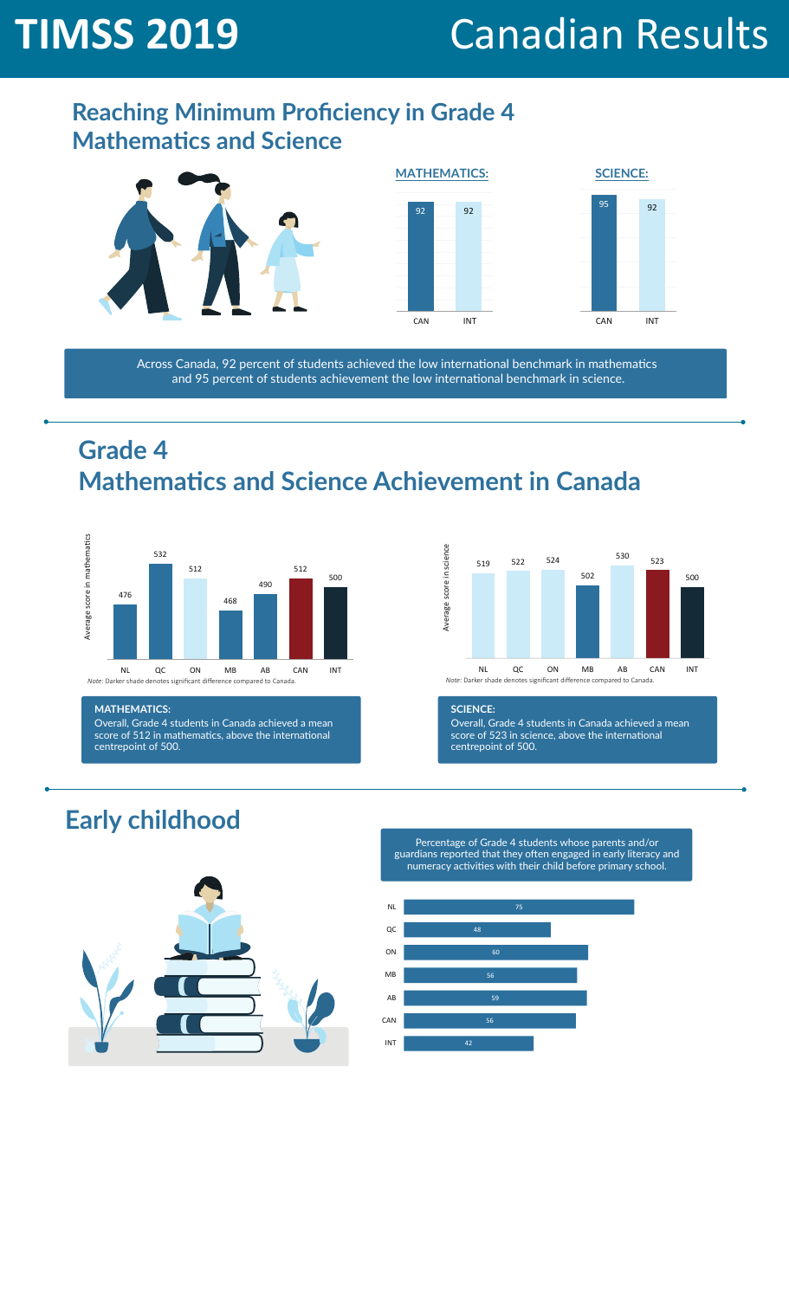# **TIMSS 2019** Canadian Results

#### **Reaching Minimum Proficiency in Grade 4 Mathematics and Science**







Across Canada, 92 percent of students achieved the low international benchmark in mathematics and 95 percent of students achievement the low international benchmark in science.

## **Grade 4 Mathematics and Science Achievement in Canada**



#### **MATHEMATICS:**

Overall, Grade 4 students in Canada achieved a mean score of 512 in mathematics, above the international centrepoint of 500.



#### **SCIENCE:**

Overall, Grade 4 students in Canada achieved a mean score of 523 in science, above the international centrepoint of 500.

## **Early childhood**



Percentage of Grade 4 students whose parents and/or guardians reported that they often engaged in early literacy and numeracy activities with their child before primary school.